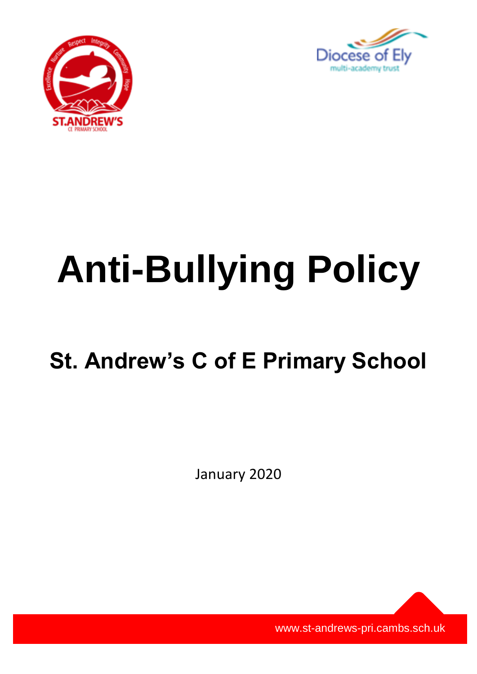



# **Anti-Bullying Policy**

# **St. Andrew's C of E Primary School**

January 2020

www.st-andrews-pri.cambs.sch.uk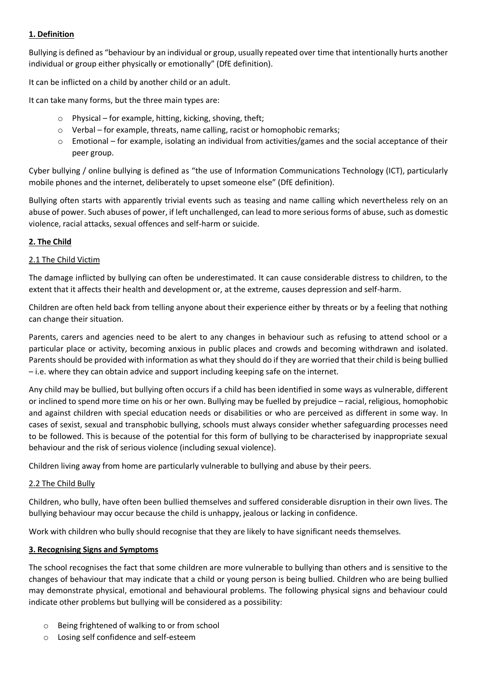# **1. Definition**

Bullying is defined as "behaviour by an individual or group, usually repeated over time that intentionally hurts another individual or group either physically or emotionally" (DfE definition).

It can be inflicted on a child by another child or an adult.

It can take many forms, but the three main types are:

- $\circ$  Physical for example, hitting, kicking, shoving, theft;
- o Verbal for example, threats, name calling, racist or homophobic remarks;
- o Emotional for example, isolating an individual from activities/games and the social acceptance of their peer group.

Cyber bullying / online bullying is defined as "the use of Information Communications Technology (ICT), particularly mobile phones and the internet, deliberately to upset someone else" (DfE definition).

Bullying often starts with apparently trivial events such as teasing and name calling which nevertheless rely on an abuse of power. Such abuses of power, if left unchallenged, can lead to more serious forms of abuse, such as domestic violence, racial attacks, sexual offences and self-harm or suicide.

# **2. The Child**

# 2.1 The Child Victim

The damage inflicted by bullying can often be underestimated. It can cause considerable distress to children, to the extent that it affects their health and development or, at the extreme, causes depression and self-harm.

Children are often held back from telling anyone about their experience either by threats or by a feeling that nothing can change their situation.

Parents, carers and agencies need to be alert to any changes in behaviour such as refusing to attend school or a particular place or activity, becoming anxious in public places and crowds and becoming withdrawn and isolated. Parents should be provided with information as what they should do if they are worried that their child is being bullied – i.e. where they can obtain advice and support including keeping safe on the internet.

Any child may be bullied, but bullying often occurs if a child has been identified in some ways as vulnerable, different or inclined to spend more time on his or her own. Bullying may be fuelled by prejudice – racial, religious, homophobic and against children with special education needs or disabilities or who are perceived as different in some way. In cases of sexist, sexual and transphobic bullying, schools must always consider whether safeguarding processes need to be followed. This is because of the potential for this form of bullying to be characterised by inappropriate sexual behaviour and the risk of serious violence (including sexual violence).

Children living away from home are particularly vulnerable to bullying and abuse by their peers.

#### 2.2 The Child Bully

Children, who bully, have often been bullied themselves and suffered considerable disruption in their own lives. The bullying behaviour may occur because the child is unhappy, jealous or lacking in confidence.

Work with children who bully should recognise that they are likely to have significant needs themselves.

#### **3. Recognising Signs and Symptoms**

The school recognises the fact that some children are more vulnerable to bullying than others and is sensitive to the changes of behaviour that may indicate that a child or young person is being bullied. Children who are being bullied may demonstrate physical, emotional and behavioural problems. The following physical signs and behaviour could indicate other problems but bullying will be considered as a possibility:

- o Being frightened of walking to or from school
- o Losing self confidence and self-esteem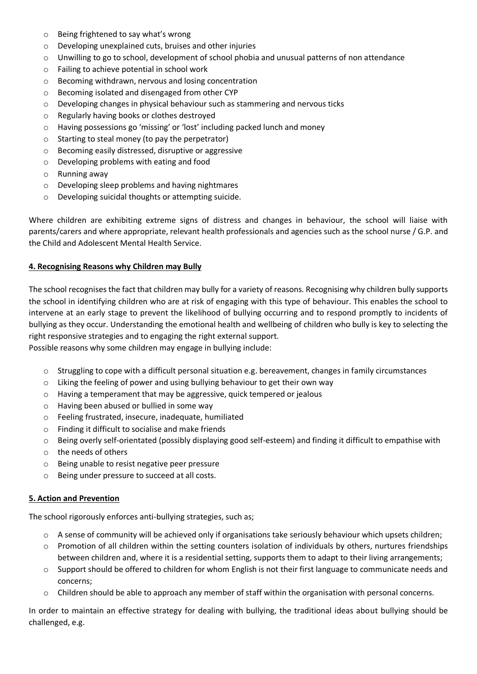- o Being frightened to say what's wrong
- o Developing unexplained cuts, bruises and other injuries
- $\circ$  Unwilling to go to school, development of school phobia and unusual patterns of non attendance
- o Failing to achieve potential in school work
- o Becoming withdrawn, nervous and losing concentration
- o Becoming isolated and disengaged from other CYP
- o Developing changes in physical behaviour such as stammering and nervous ticks
- o Regularly having books or clothes destroyed
- o Having possessions go 'missing' or 'lost' including packed lunch and money
- $\circ$  Starting to steal money (to pay the perpetrator)
- o Becoming easily distressed, disruptive or aggressive
- o Developing problems with eating and food
- o Running away
- o Developing sleep problems and having nightmares
- o Developing suicidal thoughts or attempting suicide.

Where children are exhibiting extreme signs of distress and changes in behaviour, the school will liaise with parents/carers and where appropriate, relevant health professionals and agencies such as the school nurse / G.P. and the Child and Adolescent Mental Health Service.

#### **4. Recognising Reasons why Children may Bully**

The school recognises the fact that children may bully for a variety of reasons. Recognising why children bully supports the school in identifying children who are at risk of engaging with this type of behaviour. This enables the school to intervene at an early stage to prevent the likelihood of bullying occurring and to respond promptly to incidents of bullying as they occur. Understanding the emotional health and wellbeing of children who bully is key to selecting the right responsive strategies and to engaging the right external support.

Possible reasons why some children may engage in bullying include:

- o Struggling to cope with a difficult personal situation e.g. bereavement, changes in family circumstances
- o Liking the feeling of power and using bullying behaviour to get their own way
- o Having a temperament that may be aggressive, quick tempered or jealous
- o Having been abused or bullied in some way
- o Feeling frustrated, insecure, inadequate, humiliated
- o Finding it difficult to socialise and make friends
- o Being overly self-orientated (possibly displaying good self-esteem) and finding it difficult to empathise with
- o the needs of others
- o Being unable to resist negative peer pressure
- o Being under pressure to succeed at all costs.

#### **5. Action and Prevention**

The school rigorously enforces anti-bullying strategies, such as;

- $\circ$  A sense of community will be achieved only if organisations take seriously behaviour which upsets children;
- o Promotion of all children within the setting counters isolation of individuals by others, nurtures friendships between children and, where it is a residential setting, supports them to adapt to their living arrangements;
- $\circ$  Support should be offered to children for whom English is not their first language to communicate needs and concerns;
- $\circ$  Children should be able to approach any member of staff within the organisation with personal concerns.

In order to maintain an effective strategy for dealing with bullying, the traditional ideas about bullying should be challenged, e.g.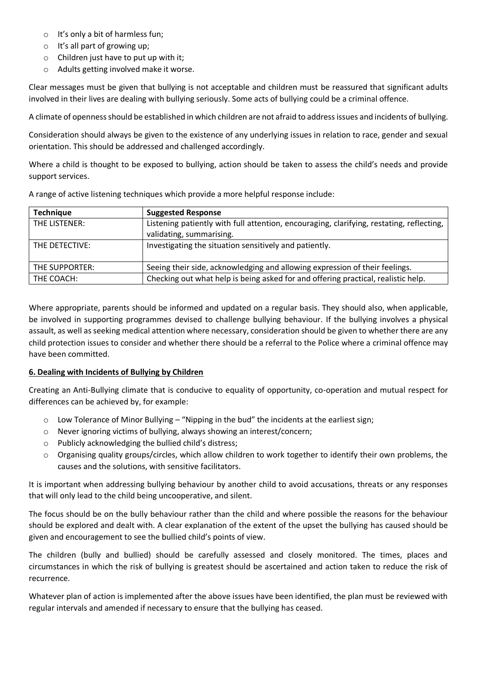- o It's only a bit of harmless fun;
- o It's all part of growing up;
- $\circ$  Children just have to put up with it;
- o Adults getting involved make it worse.

Clear messages must be given that bullying is not acceptable and children must be reassured that significant adults involved in their lives are dealing with bullying seriously. Some acts of bullying could be a criminal offence.

A climate of openness should be established in which children are not afraid to address issues and incidents of bullying.

Consideration should always be given to the existence of any underlying issues in relation to race, gender and sexual orientation. This should be addressed and challenged accordingly.

Where a child is thought to be exposed to bullying, action should be taken to assess the child's needs and provide support services.

| <b>Technique</b> | <b>Suggested Response</b>                                                                                            |
|------------------|----------------------------------------------------------------------------------------------------------------------|
| THE LISTENER:    | Listening patiently with full attention, encouraging, clarifying, restating, reflecting,<br>validating, summarising. |
| THE DETECTIVE:   | Investigating the situation sensitively and patiently.                                                               |
| THE SUPPORTER:   | Seeing their side, acknowledging and allowing expression of their feelings.                                          |
| THE COACH:       | Checking out what help is being asked for and offering practical, realistic help.                                    |

A range of active listening techniques which provide a more helpful response include:

Where appropriate, parents should be informed and updated on a regular basis. They should also, when applicable, be involved in supporting programmes devised to challenge bullying behaviour. If the bullying involves a physical assault, as well as seeking medical attention where necessary, consideration should be given to whether there are any child protection issues to consider and whether there should be a referral to the Police where a criminal offence may have been committed.

# **6. Dealing with Incidents of Bullying by Children**

Creating an Anti-Bullying climate that is conducive to equality of opportunity, co-operation and mutual respect for differences can be achieved by, for example:

- $\circ$  Low Tolerance of Minor Bullying "Nipping in the bud" the incidents at the earliest sign;
- o Never ignoring victims of bullying, always showing an interest/concern;
- o Publicly acknowledging the bullied child's distress;
- $\circ$  Organising quality groups/circles, which allow children to work together to identify their own problems, the causes and the solutions, with sensitive facilitators.

It is important when addressing bullying behaviour by another child to avoid accusations, threats or any responses that will only lead to the child being uncooperative, and silent.

The focus should be on the bully behaviour rather than the child and where possible the reasons for the behaviour should be explored and dealt with. A clear explanation of the extent of the upset the bullying has caused should be given and encouragement to see the bullied child's points of view.

The children (bully and bullied) should be carefully assessed and closely monitored. The times, places and circumstances in which the risk of bullying is greatest should be ascertained and action taken to reduce the risk of recurrence.

Whatever plan of action is implemented after the above issues have been identified, the plan must be reviewed with regular intervals and amended if necessary to ensure that the bullying has ceased.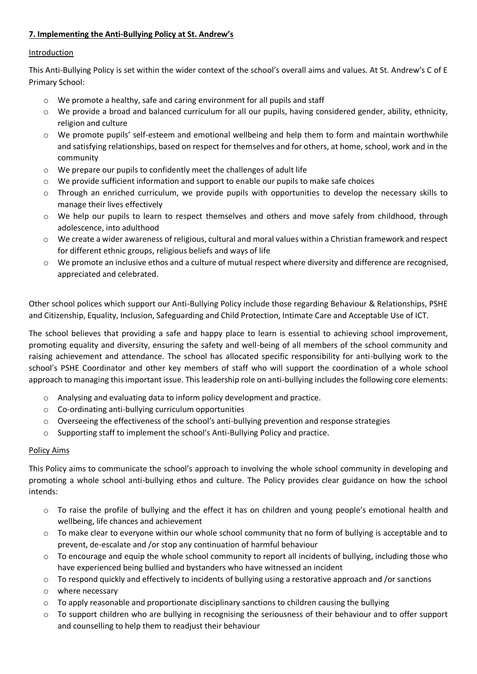# **7. Implementing the Anti-Bullying Policy at St. Andrew's**

# Introduction

This Anti-Bullying Policy is set within the wider context of the school's overall aims and values. At St. Andrew's C of E Primary School:

- o We promote a healthy, safe and caring environment for all pupils and staff
- $\circ$  We provide a broad and balanced curriculum for all our pupils, having considered gender, ability, ethnicity, religion and culture
- o We promote pupils' self-esteem and emotional wellbeing and help them to form and maintain worthwhile and satisfying relationships, based on respect for themselves and for others, at home, school, work and in the community
- o We prepare our pupils to confidently meet the challenges of adult life
- $\circ$  We provide sufficient information and support to enable our pupils to make safe choices
- $\circ$  Through an enriched curriculum, we provide pupils with opportunities to develop the necessary skills to manage their lives effectively
- o We help our pupils to learn to respect themselves and others and move safely from childhood, through adolescence, into adulthood
- o We create a wider awareness of religious, cultural and moral values within a Christian framework and respect for different ethnic groups, religious beliefs and ways of life
- o We promote an inclusive ethos and a culture of mutual respect where diversity and difference are recognised, appreciated and celebrated.

Other school polices which support our Anti-Bullying Policy include those regarding Behaviour & Relationships, PSHE and Citizenship, Equality, Inclusion, Safeguarding and Child Protection, Intimate Care and Acceptable Use of ICT.

The school believes that providing a safe and happy place to learn is essential to achieving school improvement, promoting equality and diversity, ensuring the safety and well-being of all members of the school community and raising achievement and attendance. The school has allocated specific responsibility for anti-bullying work to the school's PSHE Coordinator and other key members of staff who will support the coordination of a whole school approach to managing this important issue. This leadership role on anti-bullying includes the following core elements:

- o Analysing and evaluating data to inform policy development and practice.
- o Co-ordinating anti-bullying curriculum opportunities
- o Overseeing the effectiveness of the school's anti-bullying prevention and response strategies
- o Supporting staff to implement the school's Anti-Bullying Policy and practice.

# Policy Aims

This Policy aims to communicate the school's approach to involving the whole school community in developing and promoting a whole school anti-bullying ethos and culture. The Policy provides clear guidance on how the school intends:

- o To raise the profile of bullying and the effect it has on children and young people's emotional health and wellbeing, life chances and achievement
- $\circ$  To make clear to everyone within our whole school community that no form of bullying is acceptable and to prevent, de-escalate and /or stop any continuation of harmful behaviour
- $\circ$  To encourage and equip the whole school community to report all incidents of bullying, including those who have experienced being bullied and bystanders who have witnessed an incident
- o To respond quickly and effectively to incidents of bullying using a restorative approach and /or sanctions
- o where necessary
- $\circ$  To apply reasonable and proportionate disciplinary sanctions to children causing the bullying
- $\circ$  To support children who are bullying in recognising the seriousness of their behaviour and to offer support and counselling to help them to readjust their behaviour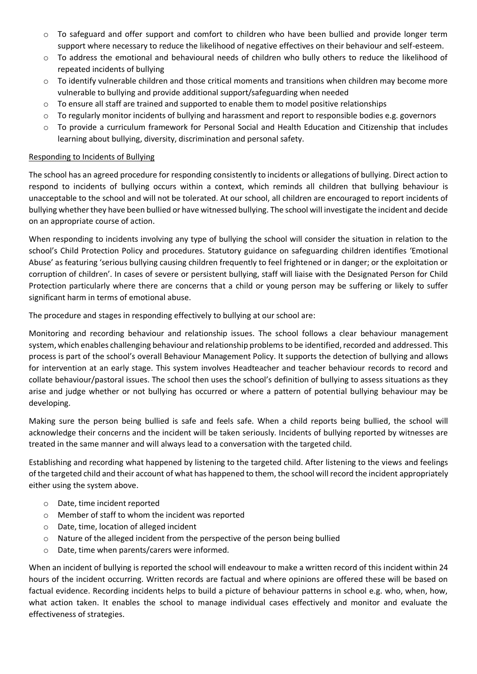- o To safeguard and offer support and comfort to children who have been bullied and provide longer term support where necessary to reduce the likelihood of negative effectives on their behaviour and self-esteem.
- o To address the emotional and behavioural needs of children who bully others to reduce the likelihood of repeated incidents of bullying
- o To identify vulnerable children and those critical moments and transitions when children may become more vulnerable to bullying and provide additional support/safeguarding when needed
- $\circ$  To ensure all staff are trained and supported to enable them to model positive relationships
- o To regularly monitor incidents of bullying and harassment and report to responsible bodies e.g. governors
- o To provide a curriculum framework for Personal Social and Health Education and Citizenship that includes learning about bullying, diversity, discrimination and personal safety.

#### Responding to Incidents of Bullying

The school has an agreed procedure for responding consistently to incidents or allegations of bullying. Direct action to respond to incidents of bullying occurs within a context, which reminds all children that bullying behaviour is unacceptable to the school and will not be tolerated. At our school, all children are encouraged to report incidents of bullying whether they have been bullied or have witnessed bullying. The school will investigate the incident and decide on an appropriate course of action.

When responding to incidents involving any type of bullying the school will consider the situation in relation to the school's Child Protection Policy and procedures. Statutory guidance on safeguarding children identifies 'Emotional Abuse' as featuring 'serious bullying causing children frequently to feel frightened or in danger; or the exploitation or corruption of children'. In cases of severe or persistent bullying, staff will liaise with the Designated Person for Child Protection particularly where there are concerns that a child or young person may be suffering or likely to suffer significant harm in terms of emotional abuse.

The procedure and stages in responding effectively to bullying at our school are:

Monitoring and recording behaviour and relationship issues. The school follows a clear behaviour management system, which enables challenging behaviour and relationship problems to be identified, recorded and addressed. This process is part of the school's overall Behaviour Management Policy. It supports the detection of bullying and allows for intervention at an early stage. This system involves Headteacher and teacher behaviour records to record and collate behaviour/pastoral issues. The school then uses the school's definition of bullying to assess situations as they arise and judge whether or not bullying has occurred or where a pattern of potential bullying behaviour may be developing.

Making sure the person being bullied is safe and feels safe. When a child reports being bullied, the school will acknowledge their concerns and the incident will be taken seriously. Incidents of bullying reported by witnesses are treated in the same manner and will always lead to a conversation with the targeted child.

Establishing and recording what happened by listening to the targeted child. After listening to the views and feelings of the targeted child and their account of what has happened to them, the school will record the incident appropriately either using the system above.

- o Date, time incident reported
- o Member of staff to whom the incident was reported
- o Date, time, location of alleged incident
- o Nature of the alleged incident from the perspective of the person being bullied
- o Date, time when parents/carers were informed.

When an incident of bullying is reported the school will endeavour to make a written record of this incident within 24 hours of the incident occurring. Written records are factual and where opinions are offered these will be based on factual evidence. Recording incidents helps to build a picture of behaviour patterns in school e.g. who, when, how, what action taken. It enables the school to manage individual cases effectively and monitor and evaluate the effectiveness of strategies.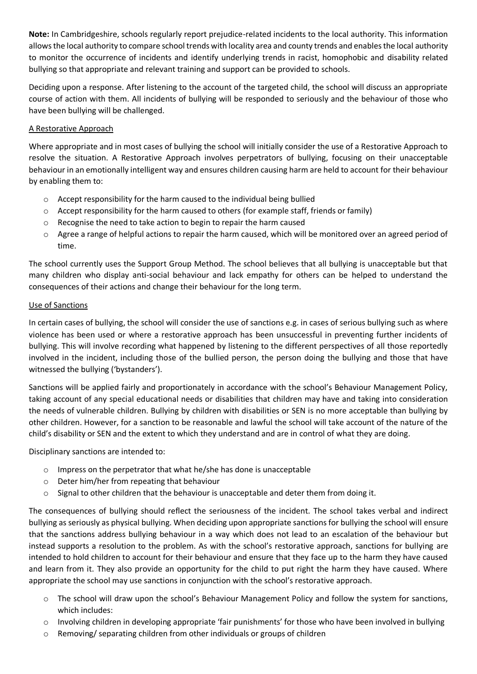**Note:** In Cambridgeshire, schools regularly report prejudice-related incidents to the local authority. This information allowsthe local authority to compare school trends with locality area and county trends and enables the local authority to monitor the occurrence of incidents and identify underlying trends in racist, homophobic and disability related bullying so that appropriate and relevant training and support can be provided to schools.

Deciding upon a response. After listening to the account of the targeted child, the school will discuss an appropriate course of action with them. All incidents of bullying will be responded to seriously and the behaviour of those who have been bullying will be challenged.

# A Restorative Approach

Where appropriate and in most cases of bullying the school will initially consider the use of a Restorative Approach to resolve the situation. A Restorative Approach involves perpetrators of bullying, focusing on their unacceptable behaviour in an emotionally intelligent way and ensures children causing harm are held to account for their behaviour by enabling them to:

- o Accept responsibility for the harm caused to the individual being bullied
- $\circ$  Accept responsibility for the harm caused to others (for example staff, friends or family)
- o Recognise the need to take action to begin to repair the harm caused
- o Agree a range of helpful actions to repair the harm caused, which will be monitored over an agreed period of time.

The school currently uses the Support Group Method. The school believes that all bullying is unacceptable but that many children who display anti-social behaviour and lack empathy for others can be helped to understand the consequences of their actions and change their behaviour for the long term.

#### Use of Sanctions

In certain cases of bullying, the school will consider the use of sanctions e.g. in cases of serious bullying such as where violence has been used or where a restorative approach has been unsuccessful in preventing further incidents of bullying. This will involve recording what happened by listening to the different perspectives of all those reportedly involved in the incident, including those of the bullied person, the person doing the bullying and those that have witnessed the bullying ('bystanders').

Sanctions will be applied fairly and proportionately in accordance with the school's Behaviour Management Policy, taking account of any special educational needs or disabilities that children may have and taking into consideration the needs of vulnerable children. Bullying by children with disabilities or SEN is no more acceptable than bullying by other children. However, for a sanction to be reasonable and lawful the school will take account of the nature of the child's disability or SEN and the extent to which they understand and are in control of what they are doing.

Disciplinary sanctions are intended to:

- o Impress on the perpetrator that what he/she has done is unacceptable
- o Deter him/her from repeating that behaviour
- $\circ$  Signal to other children that the behaviour is unacceptable and deter them from doing it.

The consequences of bullying should reflect the seriousness of the incident. The school takes verbal and indirect bullying as seriously as physical bullying. When deciding upon appropriate sanctions for bullying the school will ensure that the sanctions address bullying behaviour in a way which does not lead to an escalation of the behaviour but instead supports a resolution to the problem. As with the school's restorative approach, sanctions for bullying are intended to hold children to account for their behaviour and ensure that they face up to the harm they have caused and learn from it. They also provide an opportunity for the child to put right the harm they have caused. Where appropriate the school may use sanctions in conjunction with the school's restorative approach.

- $\circ$  The school will draw upon the school's Behaviour Management Policy and follow the system for sanctions, which includes:
- o Involving children in developing appropriate 'fair punishments' for those who have been involved in bullying
- o Removing/ separating children from other individuals or groups of children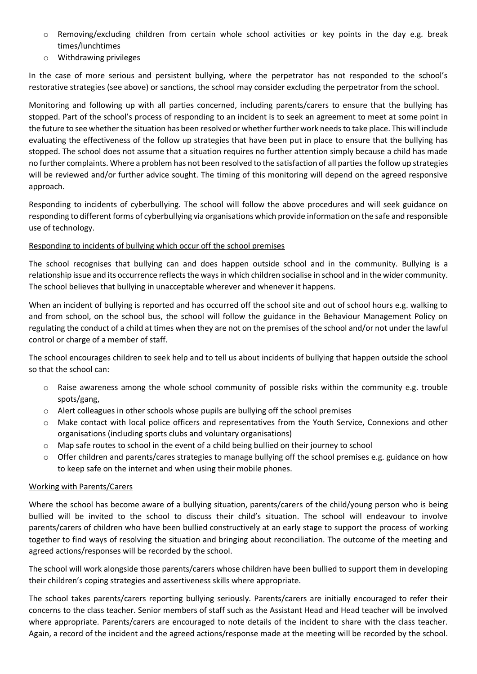- o Removing/excluding children from certain whole school activities or key points in the day e.g. break times/lunchtimes
- o Withdrawing privileges

In the case of more serious and persistent bullying, where the perpetrator has not responded to the school's restorative strategies (see above) or sanctions, the school may consider excluding the perpetrator from the school.

Monitoring and following up with all parties concerned, including parents/carers to ensure that the bullying has stopped. Part of the school's process of responding to an incident is to seek an agreement to meet at some point in the future to see whether the situation has been resolved or whether further work needs to take place. This will include evaluating the effectiveness of the follow up strategies that have been put in place to ensure that the bullying has stopped. The school does not assume that a situation requires no further attention simply because a child has made no further complaints. Where a problem has not been resolved to the satisfaction of all parties the follow up strategies will be reviewed and/or further advice sought. The timing of this monitoring will depend on the agreed responsive approach.

Responding to incidents of cyberbullying. The school will follow the above procedures and will seek guidance on responding to different forms of cyberbullying via organisations which provide information on the safe and responsible use of technology.

# Responding to incidents of bullying which occur off the school premises

The school recognises that bullying can and does happen outside school and in the community. Bullying is a relationship issue and its occurrence reflects the ways in which children socialise in school and in the wider community. The school believes that bullying in unacceptable wherever and whenever it happens.

When an incident of bullying is reported and has occurred off the school site and out of school hours e.g. walking to and from school, on the school bus, the school will follow the guidance in the Behaviour Management Policy on regulating the conduct of a child at times when they are not on the premises of the school and/or not under the lawful control or charge of a member of staff.

The school encourages children to seek help and to tell us about incidents of bullying that happen outside the school so that the school can:

- $\circ$  Raise awareness among the whole school community of possible risks within the community e.g. trouble spots/gang,
- $\circ$  Alert colleagues in other schools whose pupils are bullying off the school premises
- o Make contact with local police officers and representatives from the Youth Service, Connexions and other organisations (including sports clubs and voluntary organisations)
- o Map safe routes to school in the event of a child being bullied on their journey to school
- $\circ$  Offer children and parents/cares strategies to manage bullying off the school premises e.g. guidance on how to keep safe on the internet and when using their mobile phones.

# Working with Parents/Carers

Where the school has become aware of a bullying situation, parents/carers of the child/young person who is being bullied will be invited to the school to discuss their child's situation. The school will endeavour to involve parents/carers of children who have been bullied constructively at an early stage to support the process of working together to find ways of resolving the situation and bringing about reconciliation. The outcome of the meeting and agreed actions/responses will be recorded by the school.

The school will work alongside those parents/carers whose children have been bullied to support them in developing their children's coping strategies and assertiveness skills where appropriate.

The school takes parents/carers reporting bullying seriously. Parents/carers are initially encouraged to refer their concerns to the class teacher. Senior members of staff such as the Assistant Head and Head teacher will be involved where appropriate. Parents/carers are encouraged to note details of the incident to share with the class teacher. Again, a record of the incident and the agreed actions/response made at the meeting will be recorded by the school.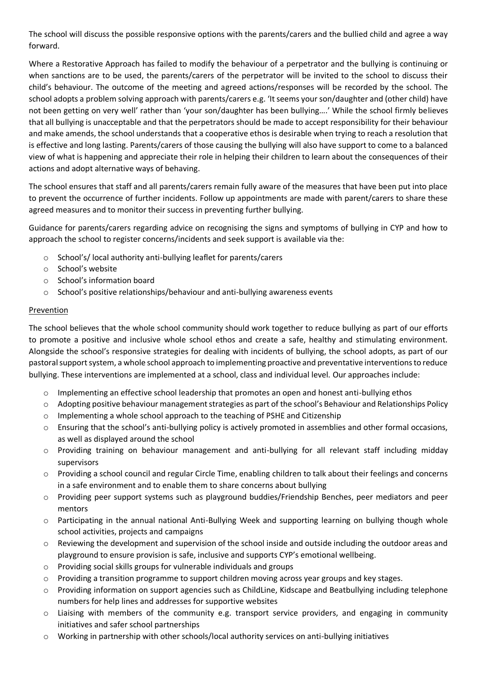The school will discuss the possible responsive options with the parents/carers and the bullied child and agree a way forward.

Where a Restorative Approach has failed to modify the behaviour of a perpetrator and the bullying is continuing or when sanctions are to be used, the parents/carers of the perpetrator will be invited to the school to discuss their child's behaviour. The outcome of the meeting and agreed actions/responses will be recorded by the school. The school adopts a problem solving approach with parents/carers e.g. 'It seems your son/daughter and (other child) have not been getting on very well' rather than 'your son/daughter has been bullying….' While the school firmly believes that all bullying is unacceptable and that the perpetrators should be made to accept responsibility for their behaviour and make amends, the school understands that a cooperative ethos is desirable when trying to reach a resolution that is effective and long lasting. Parents/carers of those causing the bullying will also have support to come to a balanced view of what is happening and appreciate their role in helping their children to learn about the consequences of their actions and adopt alternative ways of behaving.

The school ensures that staff and all parents/carers remain fully aware of the measures that have been put into place to prevent the occurrence of further incidents. Follow up appointments are made with parent/carers to share these agreed measures and to monitor their success in preventing further bullying.

Guidance for parents/carers regarding advice on recognising the signs and symptoms of bullying in CYP and how to approach the school to register concerns/incidents and seek support is available via the:

- o School's/ local authority anti-bullying leaflet for parents/carers
- o School's website
- o School's information board
- o School's positive relationships/behaviour and anti-bullying awareness events

#### Prevention

The school believes that the whole school community should work together to reduce bullying as part of our efforts to promote a positive and inclusive whole school ethos and create a safe, healthy and stimulating environment. Alongside the school's responsive strategies for dealing with incidents of bullying, the school adopts, as part of our pastoral support system, a whole school approach to implementing proactive and preventative interventions to reduce bullying. These interventions are implemented at a school, class and individual level. Our approaches include:

- $\circ$  Implementing an effective school leadership that promotes an open and honest anti-bullying ethos
- o Adopting positive behaviour management strategies as part of the school's Behaviour and Relationships Policy
- o Implementing a whole school approach to the teaching of PSHE and Citizenship
- o Ensuring that the school's anti-bullying policy is actively promoted in assemblies and other formal occasions, as well as displayed around the school
- o Providing training on behaviour management and anti-bullying for all relevant staff including midday supervisors
- o Providing a school council and regular Circle Time, enabling children to talk about their feelings and concerns in a safe environment and to enable them to share concerns about bullying
- o Providing peer support systems such as playground buddies/Friendship Benches, peer mediators and peer mentors
- o Participating in the annual national Anti-Bullying Week and supporting learning on bullying though whole school activities, projects and campaigns
- o Reviewing the development and supervision of the school inside and outside including the outdoor areas and playground to ensure provision is safe, inclusive and supports CYP's emotional wellbeing.
- o Providing social skills groups for vulnerable individuals and groups
- $\circ$  Providing a transition programme to support children moving across year groups and key stages.
- o Providing information on support agencies such as ChildLine, Kidscape and Beatbullying including telephone numbers for help lines and addresses for supportive websites
- $\circ$  Liaising with members of the community e.g. transport service providers, and engaging in community initiatives and safer school partnerships
- o Working in partnership with other schools/local authority services on anti-bullying initiatives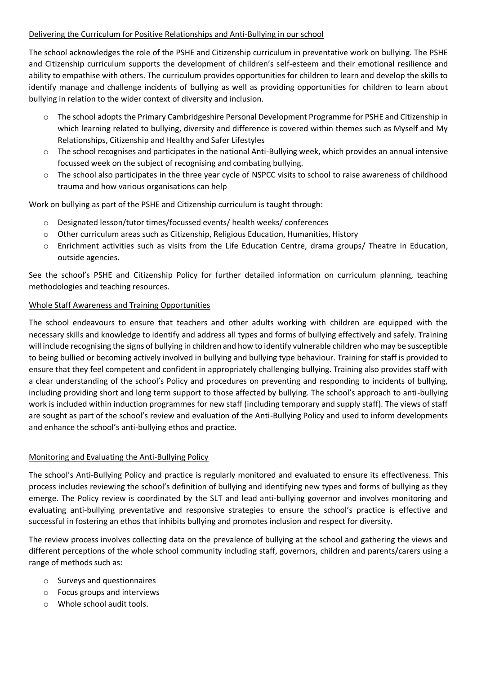#### Delivering the Curriculum for Positive Relationships and Anti-Bullying in our school

The school acknowledges the role of the PSHE and Citizenship curriculum in preventative work on bullying. The PSHE and Citizenship curriculum supports the development of children's self-esteem and their emotional resilience and ability to empathise with others. The curriculum provides opportunities for children to learn and develop the skills to identify manage and challenge incidents of bullying as well as providing opportunities for children to learn about bullying in relation to the wider context of diversity and inclusion.

- o The school adopts the Primary Cambridgeshire Personal Development Programme for PSHE and Citizenship in which learning related to bullying, diversity and difference is covered within themes such as Myself and My Relationships, Citizenship and Healthy and Safer Lifestyles
- o The school recognises and participates in the national Anti-Bullying week, which provides an annual intensive focussed week on the subject of recognising and combating bullying.
- $\circ$  The school also participates in the three year cycle of NSPCC visits to school to raise awareness of childhood trauma and how various organisations can help

Work on bullying as part of the PSHE and Citizenship curriculum is taught through:

- o Designated lesson/tutor times/focussed events/ health weeks/ conferences
- o Other curriculum areas such as Citizenship, Religious Education, Humanities, History
- o Enrichment activities such as visits from the Life Education Centre, drama groups/ Theatre in Education, outside agencies.

See the school's PSHE and Citizenship Policy for further detailed information on curriculum planning, teaching methodologies and teaching resources.

#### Whole Staff Awareness and Training Opportunities

The school endeavours to ensure that teachers and other adults working with children are equipped with the necessary skills and knowledge to identify and address all types and forms of bullying effectively and safely. Training will include recognising the signs of bullying in children and how to identify vulnerable children who may be susceptible to being bullied or becoming actively involved in bullying and bullying type behaviour. Training for staff is provided to ensure that they feel competent and confident in appropriately challenging bullying. Training also provides staff with a clear understanding of the school's Policy and procedures on preventing and responding to incidents of bullying, including providing short and long term support to those affected by bullying. The school's approach to anti-bullying work is included within induction programmes for new staff (including temporary and supply staff). The views of staff are sought as part of the school's review and evaluation of the Anti-Bullying Policy and used to inform developments and enhance the school's anti-bullying ethos and practice.

#### Monitoring and Evaluating the Anti-Bullying Policy

The school's Anti-Bullying Policy and practice is regularly monitored and evaluated to ensure its effectiveness. This process includes reviewing the school's definition of bullying and identifying new types and forms of bullying as they emerge. The Policy review is coordinated by the SLT and lead anti-bullying governor and involves monitoring and evaluating anti-bullying preventative and responsive strategies to ensure the school's practice is effective and successful in fostering an ethos that inhibits bullying and promotes inclusion and respect for diversity.

The review process involves collecting data on the prevalence of bullying at the school and gathering the views and different perceptions of the whole school community including staff, governors, children and parents/carers using a range of methods such as:

- o Surveys and questionnaires
- o Focus groups and interviews
- o Whole school audit tools.